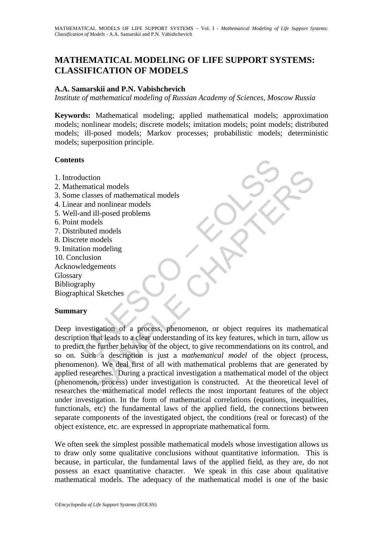# **MATHEMATICAL MODELING OF LIFE SUPPORT SYSTEMS: CLASSIFICATION OF MODELS**

### **A.A. Samarskii and P.N. Vabishchevich**

*Institute of mathematical modeling of Russian Academy of Sciences, Moscow Russia*

**Keywords:** Mathematical modeling; applied mathematical models; approximation models; nonlinear models; discrete models; imitation models; point models; distributed models; ill-posed models; Markov processes; probabilistic models; deterministic models; superposition principle.

### **Contents**

- 1. Introduction
- 2. Mathematical models
- 3. Some classes of mathematical models
- 4. Linear and nonlinear models
- 5. Well-and ill-posed problems
- 6. Point models
- 7. Distributed models
- 8. Discrete models
- 9. Imitation modeling
- 10. Conclusion
- Acknowledgements

Glossary

Bibliography

Biographical Sketches

### **Summary**

ts<br>
thuction<br>
ematical models<br>
classes of mathematical models<br>
ur and nonlinear models<br>
and ill-posed problems<br>
models<br>
tet models<br>
tet models<br>
tet models<br>
tet modeling<br>
clusion<br>
versity and the modeling<br>
clusion<br>
y<br>
westi tion<br>
atical models<br>
and nonlinear models<br>
and nonlinear models<br>
models<br>
models<br>
models<br>
models<br>
stigation of a process, phenomenon, or object requires its mathema<br>
stigation of a process, phenomenon, or object requires it Deep investigation of a process, phenomenon, or object requires its mathematical description that leads to a clear understanding of its key features, which in turn, allow us to predict the further behavior of the object, to give recommendations on its control, and so on. Such a description is just a *mathematical model* of the object (process, phenomenon). We deal first of all with mathematical problems that are generated by applied researches. During a practical investigation a mathematical model of the object (phenomenon, process) under investigation is constructed. At the theoretical level of researches the mathematical model reflects the most important features of the object under investigation. In the form of mathematical correlations (equations, inequalities, functionals, etc) the fundamental laws of the applied field, the connections between separate components of the investigated object, the conditions (real or forecast) of the object existence, etc. are expressed in appropriate mathematical form.

We often seek the simplest possible mathematical models whose investigation allows us to draw only some qualitative conclusions without quantitative information. This is because, in particular, the fundamental laws of the applied field, as they are, do not possess an exact quantitative character. We speak in this case about qualitative mathematical models. The adequacy of the mathematical model is one of the basic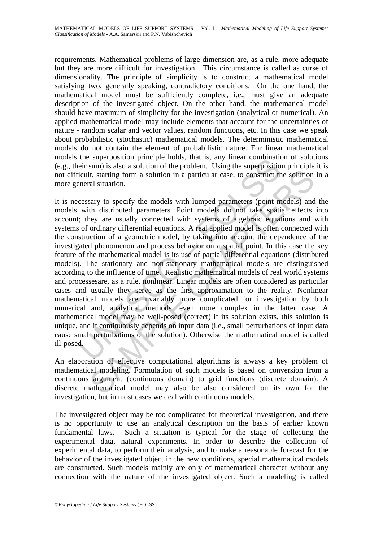requirements. Mathematical problems of large dimension are, as a rule, more adequate but they are more difficult for investigation. This circumstance is called as curse of dimensionality. The principle of simplicity is to construct a mathematical model satisfying two, generally speaking, contradictory conditions. On the one hand, the mathematical model must be sufficiently complete, i.e., must give an adequate description of the investigated object. On the other hand, the mathematical model should have maximum of simplicity for the investigation (analytical or numerical). An applied mathematical model may include elements that account for the uncertainties of nature - random scalar and vector values, random functions, etc. In this case we speak about probabilistic (stochastic) mathematical models. The deterministic mathematical models do not contain the element of probabilistic nature. For linear mathematical models the superposition principle holds, that is, any linear combination of solutions (e.g., their sum) is also a solution of the problem. Using the superposition principle it is not difficult, starting form a solution in a particular case, to construct the solution in a more general situation.

the supposition punctiple industs, that is, any linear combinant<br>eir sum) is also a solution of the problem. Using the superpositio<br>icult, starting form a solution of the problem. Using the superpositio<br>icult, starting for It, starting form a solution in a particular case, to construct the solution<br>al situation.<br>al situation.<br>asay to specify the models with lumped parameters (point models) and<br>th distributed parameters. Point models do not t It is necessary to specify the models with lumped parameters (point models) and the models with distributed parameters. Point models do not take spatial effects into account; they are usually connected with systems of algebraic equations and with systems of ordinary differential equations. A real applied model is often connected with the construction of a geometric model, by taking into account the dependence of the investigated phenomenon and process behavior on a spatial point. In this case the key feature of the mathematical model is its use of partial differential equations (distributed models). The stationary and non-stationary mathematical models are distinguished according to the influence of time. Realistic mathematical models of real world systems and processesare, as a rule, nonlinear. Linear models are often considered as particular cases and usually they serve as the first approximation to the reality. Nonlinear mathematical models are invariably more complicated for investigation by both numerical and, analytical methods, even more complex in the latter case. A mathematical model may be well-posed (correct) if its solution exists, this solution is unique, and it continuously depends on input data (i.e., small perturbations of input data cause small perturbations of the solution). Otherwise the mathematical model is called ill-posed.

An elaboration of effective computational algorithms is always a key problem of mathematical modeling. Formulation of such models is based on conversion from a continuous argument (continuous domain) to grid functions (discrete domain). A discrete mathematical model may also be also considered on its own for the investigation, but in most cases we deal with continuous models.

The investigated object may be too complicated for theoretical investigation, and there is no opportunity to use an analytical description on the basis of earlier known fundamental laws. Such a situation is typical for the stage of collecting the experimental data, natural experiments. In order to describe the collection of experimental data, to perform their analysis, and to make a reasonable forecast for the behavior of the investigated object in the new conditions, special mathematical models are constructed. Such models mainly are only of mathematical character without any connection with the nature of the investigated object. Such a modeling is called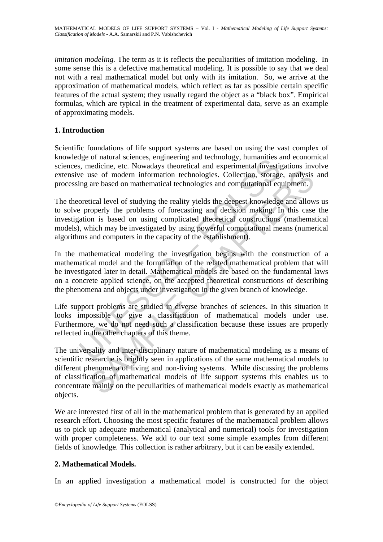*imitation modeling*. The term as it is reflects the peculiarities of imitation modeling. In some sense this is a defective mathematical modeling. It is possible to say that we deal not with a real mathematical model but only with its imitation. So, we arrive at the approximation of mathematical models, which reflect as far as possible certain specific features of the actual system; they usually regard the object as a "black box". Empirical formulas, which are typical in the treatment of experimental data, serve as an example of approximating models.

## **1. Introduction**

Scientific foundations of life support systems are based on using the vast complex of knowledge of natural sciences, engineering and technology, humanities and economical sciences, medicine, etc. Nowadays theoretical and experimental investigations involve extensive use of modern information technologies. Collection, storage, analysis and processing are based on mathematical technologies and computational equipment.

The theoretical level of studying the reality yields the deepest knowledge and allows us to solve properly the problems of forecasting and decision making. In this case the investigation is based on using complicated theoretical constructions (mathematical models), which may be investigated by using powerful computational means (numerical algorithms and computers in the capacity of the establishment).

ge of matural sciences, empereing and technology, numarities and experimental investigate<br>or use of modern information technologies. Collection, storage<br>ing are based on mathematical technologies and computational eq<br>oreti In the mathematical modeling the investigation begins with the construction of a mathematical model and the formulation of the related mathematical problem that will be investigated later in detail. Mathematical models are based on the fundamental laws on a concrete applied science, on the accepted theoretical constructions of describing the phenomena and objects under investigation in the given branch of knowledge.

Life support problems are studied in diverse branches of sciences. In this situation it looks impossible to give a classification of mathematical models under use. Furthermore, we do not need such a classification because these issues are properly reflected in the other chapters of this theme.

use of modern information technologies. Collection, storage, analysis are based on mathematical technologies. Collection, storage, analysis are based on mathematical technologies and computational equipment. tical level of The universality and inter-disciplinary nature of mathematical modeling as a means of scientific researche is brightly seen in applications of the same mathematical models to different phenomena of living and non-living systems. While discussing the problems of classification of mathematical models of life support systems this enables us to concentrate mainly on the peculiarities of mathematical models exactly as mathematical objects.

We are interested first of all in the mathematical problem that is generated by an applied research effort. Choosing the most specific features of the mathematical problem allows us to pick up adequate mathematical (analytical and numerical) tools for investigation with proper completeness. We add to our text some simple examples from different fields of knowledge. This collection is rather arbitrary, but it can be easily extended.

## **2. Mathematical Models.**

In an applied investigation a mathematical model is constructed for the object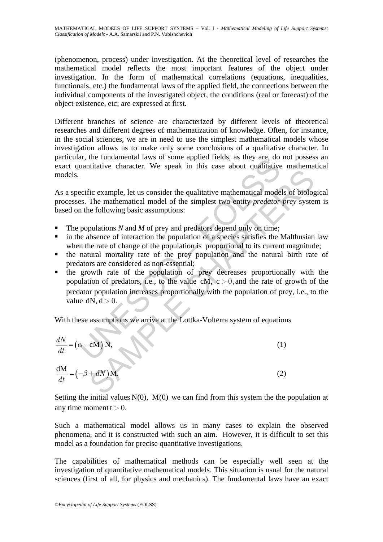(phenomenon, process) under investigation. At the theoretical level of researches the mathematical model reflects the most important features of the object under investigation. In the form of mathematical correlations (equations, inequalities, functionals, etc.) the fundamental laws of the applied field, the connections between the individual components of the investigated object, the conditions (real or forecast) of the object existence, etc; are expressed at first.

Different branches of science are characterized by different levels of theoretical researches and different degrees of mathematization of knowledge. Often, for instance, in the social sciences, we are in need to use the simplest mathematical models whose investigation allows us to make only some conclusions of a qualitative character. In particular, the fundamental laws of some applied fields, as they are, do not possess an exact quantitative character. We speak in this case about qualitative mathematical models.

As a specific example, let us consider the qualitative mathematical models of biological processes. The mathematical model of the simplest two-entity *predator-prey* system is based on the following basic assumptions:

- The populations *N* and *M* of prey and predators depend only on time;
- in the absence of interaction the population of a species satisfies the Malthusian law when the rate of change of the population is proportional to its current magnitude;
- the natural mortality rate of the prey population and the natural birth rate of predators are considered as non-essential;
- at, the fundamental raws of some applied rients, as they are, do<br>uantitative character. We speak in this case about qualitative<br>ecific example, let us consider the qualitative mathematical mode<br>es. The mathematical model Fig. example, let us consider the qualitative mathematical models of biolog<br>The mathematical model of the simplest two-entity *predator-prey* system<br>the following basic assumptions:<br>pulations N and M of prey and predators **the growth rate of the population of prey decreases proportionally with the** population of predators, i.e., to the value cM,  $c > 0$ , and the rate of growth of the predator population increases proportionally with the population of prey, i.e., to the value  $dN, d > 0$ .

With these assumptions we arrive at the Lottka-Volterra system of equations

$$
\frac{dN}{dt} = (\alpha - cM) N,
$$
\n(1)

$$
\frac{dM}{dt} = \left(-\beta + dN\right)M.\tag{2}
$$

Setting the initial values  $N(0)$ ,  $M(0)$  we can find from this system the the population at any time moment  $t > 0$ .

Such a mathematical model allows us in many cases to explain the observed phenomena, and it is constructed with such an aim. However, it is difficult to set this model as a foundation for precise quantitative investigations.

The capabilities of mathematical methods can be especially well seen at the investigation of quantitative mathematical models. This situation is usual for the natural sciences (first of all, for physics and mechanics). The fundamental laws have an exact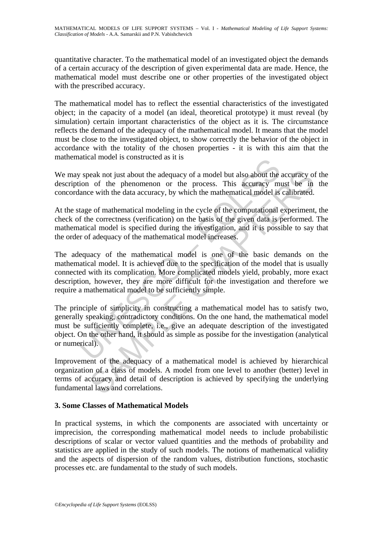quantitative character. To the mathematical model of an investigated object the demands of a certain accuracy of the description of given experimental data are made. Hence, the mathematical model must describe one or other properties of the investigated object with the prescribed accuracy.

The mathematical model has to reflect the essential characteristics of the investigated object; in the capacity of a model (an ideal, theoretical prototype) it must reveal (by simulation) certain important characteristics of the object as it is. The circumstance reflects the demand of the adequacy of the mathematical model. It means that the model must be close to the investigated object, to show correctly the behavior of the object in accordance with the totality of the chosen properties - it is with this aim that the mathematical model is constructed as it is

We may speak not just about the adequacy of a model but also about the accuracy of the description of the phenomenon or the process. This accuracy must be in the concordance with the data accuracy, by which the mathematical model is calibrated.

At the stage of mathematical modeling in the cycle of the computational experiment, the check of the correctness (verification) on the basis of the given data is performed. The mathematical model is specified during the investigation, and it is possible to say that the order of adequacy of the mathematical model increases.

v speak not just about the adequacy of a model but also about the ion of the phenomenon or the process. This accuracy m<br>lance with the data accuracy, by which the mathematical model is<br>tage of mathematical modeling in the beak not just about the adequacy of a model but also about the accuracy of of the phenomenon or the process. This accuracy must be in ce with the data accuracy, by which the mathematical model is calibrated. e of mathemati The adequacy of the mathematical model is one of the basic demands on the mathematical model. It is achieved due to the specification of the model that is usually connected with its complication. More complicated models yield, probably, more exact description, however, they are more difficult for the investigation and therefore we require a mathematical model to be sufficiently simple.

The principle of simplicity in constructing a mathematical model has to satisfy two, generally speaking, contradictory conditions. On the one hand, the mathematical model must be sufficiently complete, i.e., give an adequate description of the investigated object. On the other hand, it should as simple as possibe for the investigation (analytical or numerical).

Improvement of the adequacy of a mathematical model is achieved by hierarchical organization of a class of models. A model from one level to another (better) level in terms of accuracy and detail of description is achieved by specifying the underlying fundamental laws and correlations.

## **3. Some Classes of Mathematical Models**

In practical systems, in which the components are associated with uncertainty or imprecision, the corresponding mathematical model needs to include probabilistic descriptions of scalar or vector valued quantities and the methods of probability and statistics are applied in the study of such models. The notions of mathematical validity and the aspects of dispersion of the random values, distribution functions, stochastic processes etc. are fundamental to the study of such models.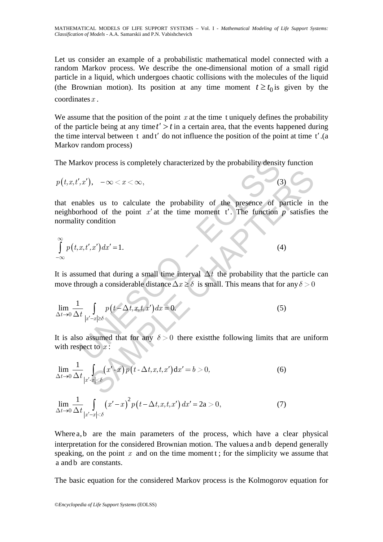Let us consider an example of a probabilistic mathematical model connected with a random Markov process. We describe the one-dimensional motion of a small rigid particle in a liquid, which undergoes chaotic collisions with the molecules of the liquid (the Brownian motion). Its position at any time moment  $t \geq t_0$  is given by the coordinates*x* .

We assume that the position of the point  $x$  at the time t uniquely defines the probability of the particle being at any time  $t' > t$  in a certain area, that the events happened during the time interval between t and t′ do not influence the position of the point at time t′.(a Markov random process)

The Markov process is completely characterized by the probability density function

$$
p(t, x, t', x'), \quad -\infty < x < \infty,\tag{3}
$$

rkov process is completely characterized by the probability densit<br>
',x'),  $-\infty < x < \infty$ ,<br>
ables us to calculate the probability of the presence of p<br>
rhood of the point x' at the time moment t'. The function<br>
ty condition<br> (3)<br>
Solution<br>
Section of the point x' at the time moment t'. The function p satisfies<br>
condition<br>  $\therefore x'$ )  $dx' = 1$ .<br>
(4)<br>
Equation<br>  $\therefore x''$ )  $dx' = 1$ .<br>
(4)<br>
Equation<br>  $\therefore x''$ )  $dx = 1$ .<br>
(4)<br>
Equation<br>  $\therefore x''$ )  $dx = 1$ .<br>
(4) that enables us to calculate the probability of the presence of particle in the neighborhood of the point  $x'$  at the time moment  $t'$ . The function  $p$  satisfies the normality condition

$$
\int_{-\infty}^{\infty} p(t, x, t', x') dx' = 1.
$$
 (4)

It is assumed that during a small time interval  $\Delta t$  the probability that the particle can move through a considerable distance  $\Delta x \ge \delta$  is small. This means that for any  $\delta > 0$ 

$$
\lim_{\Delta t \to 0} \frac{1}{\Delta t} \int_{|x'-x| \ge \delta} p\left(t - \Delta t, x, t, x'\right) dx = 0.
$$
\n(5)

It is also assumed that for any  $\delta > 0$  there exist the following limits that are uniform with respect to *x* :

$$
\lim_{\Delta t \to 0} \frac{1}{\Delta t} \int_{|x'-x| < \delta} (x'-x) p(t - \Delta t, x, t, x') dx' = b > 0,
$$
\n(6)

$$
\lim_{\Delta t \to 0} \frac{1}{\Delta t} \int_{|x'-x| < \delta} (x'-x)^2 p\left(t - \Delta t, x, t, x'\right) dx' = 2a > 0,\tag{7}
$$

Where a, b are the main parameters of the process, which have a clear physical interpretation for the considered Brownian motion. The values a and b depend generally speaking, on the point *x* and on the time moment t; for the simplicity we assume that a and b are constants.

The basic equation for the considered Markov process is the Kolmogorov equation for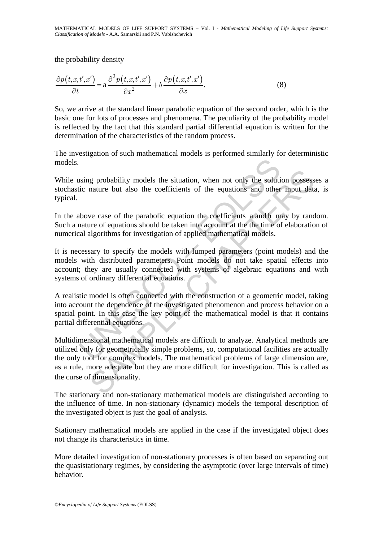the probability density

$$
\frac{\partial p(t, x, t', x')}{\partial t} = \mathbf{a} \frac{\partial^2 p(t, x, t', x')}{\partial x^2} + b \frac{\partial p(t, x, t', x')}{\partial x}.
$$
\n(8)

So, we arrive at the standard linear parabolic equation of the second order, which is the basic one for lots of processes and phenomena. The peculiarity of the probability model is reflected by the fact that this standard partial differential equation is written for the determination of the characteristics of the random process.

The investigation of such mathematical models is performed similarly for deterministic models.

While using probability models the situation, when not only the solution possesses a stochastic nature but also the coefficients of the equations and other input data, is typical.

In the above case of the parabolic equation the coefficients a and b may by random. Such a nature of equations should be taken into account at the the time of elaboration of numerical algorithms for investigation of applied mathematical models.

It is necessary to specify the models with lumped parameters (point models) and the models with distributed parameters. Point models do not take spatial effects into account; they are usually connected with systems of algebraic equations and with systems of ordinary differential equations.

ising probability models the situation, when not only the soluti<br>ic nature but also the coefficients of the equations and other<br>above case of the parabolic equation the coefficients a andb m<br>above case of the parabolic equ A realistic model is often connected with the construction of a geometric model, taking into account the dependence of the investigated phenomenon and process behavior on a spatial point. In this case the key point of the mathematical model is that it contains partial differential equations.

is probability models the situation, when not only the solution possess<br>nature but also the coefficients of the equations and other input data<br>ve case of the parabolic equation the coefficients a andb may by rand<br>are corre Multidimensional mathematical models are difficult to analyze. Analytical methods are utilized only for geometrically simple problems, so, computational facilities are actually the only tool for complex models. The mathematical problems of large dimension are, as a rule, more adequate but they are more difficult for investigation. This is called as the curse of dimensionality.

The stationary and non-stationary mathematical models are distinguished according to the influence of time. In non-stationary (dynamic) models the temporal description of the investigated object is just the goal of analysis.

Stationary mathematical models are applied in the case if the investigated object does not change its characteristics in time.

More detailed investigation of non-stationary processes is often based on separating out the quasistationary regimes, by considering the asymptotic (over large intervals of time) behavior.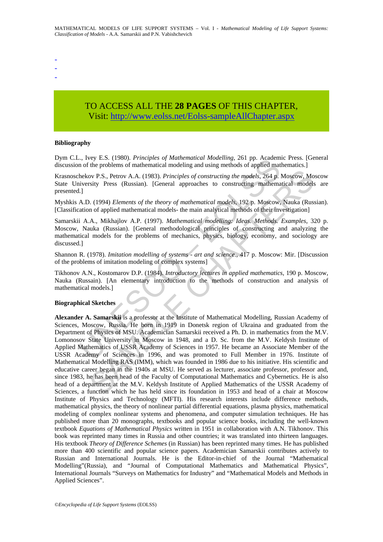- -
- -
- TO ACCESS ALL THE **28 PAGES** OF THIS CHAPTER, Visit: [http://www.eolss.net/Eolss-sampleAllChapter.aspx](https://www.eolss.net/ebooklib/sc_cart.aspx?File=E6-03A-01-01)

#### **Bibliography**

Dym C.L., Ivey E.S. (1980). *Principles of Mathematical Modelling,* 261 pp. Academic Press. [General discussion of the problems of mathematical modeling and using methods of applied mathematics.]

Krasnoschekov P.S., Petrov A.A. (1983). *Principles of constructing the models*, 264 p. Moscow, Moscow State University Press (Russian). [General approaches to constructing mathematical models are presented.]

Myshkis A.D. (1994) *Elements of the theory of mathematical models,* 192 p. Moscow, Nauka (Russian). [Classification of applied mathematical models- the main analytical methods of their investigation]

Samarskii A.A., Mikhajlov A.P. (1997). *Mathematical modelling: Ideas. Methods. Examples*, 320 p. Moscow, Nauka (Russian). [General methodological principles of constructing and analyzing the mathematical models for the problems of mechanics, physics, biology, economy, and sociology are discussed.]

Shannon R. (1978). *Imitation modelling of systems - art and science*., 417 p. Moscow: Mir. [Discussion of the problems of imitation modeling of complex systems]

Tikhonov A.N., Kostomarov D.P. (1984). *Introductory lectures in applied mathematics*, 190 p. Moscow, Nauka (Russain). [An elementary introduction to the methods of construction and analysis of mathematical models.]

#### **Biographical Sketches**

r, ivey E.S. (1976). *Frincipies of Mathematical Modelling, 261* pp. Academical models, and profiled mathematical modeling and using methods of applied mathematical modeling and using methods of applied mathematical models ov P.S., Petrov A.A. (1983). Principles of constructing the models, 264 p. Moseow, Mo<br>sity Press (Russian). [General approaches to constructing mathematical models<br>(Although CHAPTER). The model of the model of the models o **Alexander A. Samarskii** is a professor at the Institute of Mathematical Modelling, Russian Academy of Sciences, Moscow, Russia. He born in 1919 in Donetsk region of Ukraina and graduated from the Department of Physics of MSU. Academician Samarskii received a Ph. D. in mathematics from the M.V. Lomonosov State University in Moscow in 1948, and a D. Sc. from the M.V. Keldysh Institute of Applied Mathematics of USSR Academy of Sciences in 1957. He became an Associate Member of the USSR Academy of Sciences in 1996, and was promoted to Full Member in 1976. Institute of Mathematical Modelling RAS (IMM), which was founded in 1986 due to his initiative. His scientific and educative career began in the 1940s at MSU. He served as lecturer, associate professor, professor and, since 1983, he has been head of the Faculty of Computational Mathematics and Cybernetics. He is also head of a department at the M.V. Keldysh Institute of Applied Mathematics of the USSR Academy of Sciences, a function which he has held since its foundation in 1953 and head of a chair at Moscow Institute of Physics and Technology (MFTI). His research interests include difference methods, mathematical physics, the theory of nonlinear partial differential equations, plasma physics, mathematical modeling of complex nonlinear systems and phenomena, and computer simulation techniques. He has published more than 20 monographs, textbooks and popular science books, including the well-known textbook *Equations of Mathematical Physics* written in 1951 in collaboration with A.N. Tikhonov. This book was reprinted many times in Russia and other countries; it was translated into thirteen languages. His textbook *Theory of Difference Schemes* (in Russian) has been reprinted many times. He has published more than 400 scientific and popular science papers. Academician Samarskii contributes actively to Russian and International Journals. He is the Editor-in-chief of the Journal "Mathematical Modelling"(Russia), and "Journal of Computational Mathematics and Mathematical Physics", International Journals "Surveys on Mathematics for Industry" and "Mathematical Models and Methods in Applied Sciences".